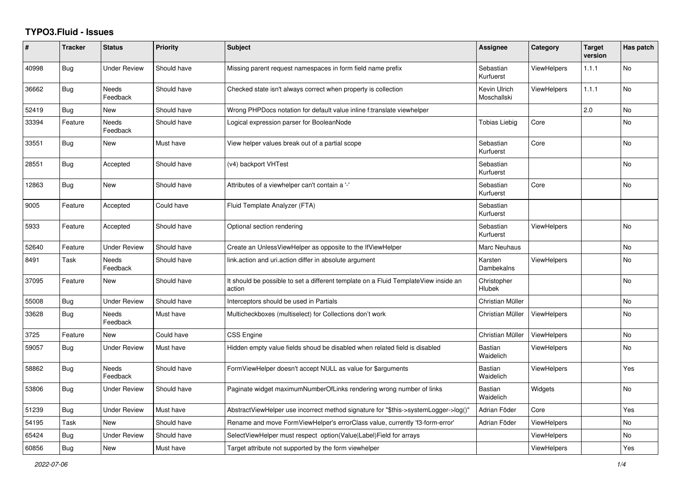## **TYPO3.Fluid - Issues**

| #     | <b>Tracker</b> | <b>Status</b>            | <b>Priority</b> | <b>Subject</b>                                                                                | Assignee                    | Category           | <b>Target</b><br>version | Has patch |
|-------|----------------|--------------------------|-----------------|-----------------------------------------------------------------------------------------------|-----------------------------|--------------------|--------------------------|-----------|
| 40998 | <b>Bug</b>     | <b>Under Review</b>      | Should have     | Missing parent request namespaces in form field name prefix                                   | Sebastian<br>Kurfuerst      | <b>ViewHelpers</b> | 1.1.1                    | <b>No</b> |
| 36662 | Bug            | Needs<br>Feedback        | Should have     | Checked state isn't always correct when property is collection                                | Kevin Ulrich<br>Moschallski | <b>ViewHelpers</b> | 1.1.1                    | No        |
| 52419 | Bug            | New                      | Should have     | Wrong PHPDocs notation for default value inline f:translate viewhelper                        |                             |                    | 2.0                      | No        |
| 33394 | Feature        | <b>Needs</b><br>Feedback | Should have     | Logical expression parser for BooleanNode                                                     | Tobias Liebig               | Core               |                          | No        |
| 33551 | <b>Bug</b>     | <b>New</b>               | Must have       | View helper values break out of a partial scope                                               | Sebastian<br>Kurfuerst      | Core               |                          | <b>No</b> |
| 28551 | Bug            | Accepted                 | Should have     | (v4) backport VHTest                                                                          | Sebastian<br>Kurfuerst      |                    |                          | <b>No</b> |
| 12863 | <b>Bug</b>     | New                      | Should have     | Attributes of a viewhelper can't contain a '-'                                                | Sebastian<br>Kurfuerst      | Core               |                          | No        |
| 9005  | Feature        | Accepted                 | Could have      | Fluid Template Analyzer (FTA)                                                                 | Sebastian<br>Kurfuerst      |                    |                          |           |
| 5933  | Feature        | Accepted                 | Should have     | Optional section rendering                                                                    | Sebastian<br>Kurfuerst      | <b>ViewHelpers</b> |                          | No        |
| 52640 | Feature        | <b>Under Review</b>      | Should have     | Create an UnlessViewHelper as opposite to the IfViewHelper                                    | <b>Marc Neuhaus</b>         |                    |                          | <b>No</b> |
| 8491  | Task           | <b>Needs</b><br>Feedback | Should have     | link.action and uri.action differ in absolute argument                                        | Karsten<br>Dambekalns       | <b>ViewHelpers</b> |                          | <b>No</b> |
| 37095 | Feature        | New                      | Should have     | It should be possible to set a different template on a Fluid TemplateView inside an<br>action | Christopher<br>Hlubek       |                    |                          | No        |
| 55008 | <b>Bug</b>     | Under Review             | Should have     | Interceptors should be used in Partials                                                       | Christian Müller            |                    |                          | No        |
| 33628 | <b>Bug</b>     | <b>Needs</b><br>Feedback | Must have       | Multicheckboxes (multiselect) for Collections don't work                                      | Christian Müller            | ViewHelpers        |                          | <b>No</b> |
| 3725  | Feature        | <b>New</b>               | Could have      | CSS Engine                                                                                    | Christian Müller            | ViewHelpers        |                          | <b>No</b> |
| 59057 | Bug            | <b>Under Review</b>      | Must have       | Hidden empty value fields shoud be disabled when related field is disabled                    | <b>Bastian</b><br>Waidelich | <b>ViewHelpers</b> |                          | <b>No</b> |
| 58862 | <b>Bug</b>     | Needs<br>Feedback        | Should have     | FormViewHelper doesn't accept NULL as value for \$arguments                                   | <b>Bastian</b><br>Waidelich | <b>ViewHelpers</b> |                          | Yes       |
| 53806 | <b>Bug</b>     | Under Review             | Should have     | Paginate widget maximumNumberOfLinks rendering wrong number of links                          | Bastian<br>Waidelich        | Widgets            |                          | No        |
| 51239 | <b>Bug</b>     | <b>Under Review</b>      | Must have       | AbstractViewHelper use incorrect method signature for "\$this->systemLogger->log()"           | Adrian Föder                | Core               |                          | Yes       |
| 54195 | Task           | <b>New</b>               | Should have     | Rename and move FormViewHelper's errorClass value, currently 'f3-form-error'                  | Adrian Föder                | <b>ViewHelpers</b> |                          | <b>No</b> |
| 65424 | Bug            | <b>Under Review</b>      | Should have     | SelectViewHelper must respect option(Value Label)Field for arrays                             |                             | <b>ViewHelpers</b> |                          | No        |
| 60856 | <b>Bug</b>     | New                      | Must have       | Target attribute not supported by the form viewhelper                                         |                             | ViewHelpers        |                          | Yes       |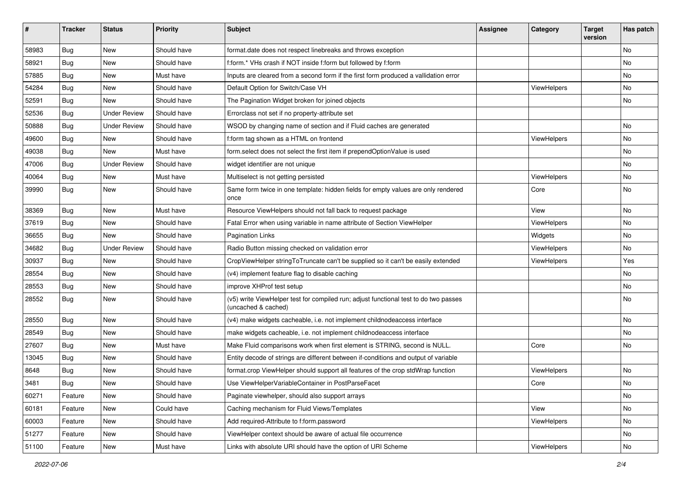| #     | <b>Tracker</b> | <b>Status</b>       | <b>Priority</b> | <b>Subject</b>                                                                                              | <b>Assignee</b> | Category    | <b>Target</b><br>version | Has patch |
|-------|----------------|---------------------|-----------------|-------------------------------------------------------------------------------------------------------------|-----------------|-------------|--------------------------|-----------|
| 58983 | Bug            | New                 | Should have     | format.date does not respect linebreaks and throws exception                                                |                 |             |                          | <b>No</b> |
| 58921 | Bug            | New                 | Should have     | f:form.* VHs crash if NOT inside f:form but followed by f:form                                              |                 |             |                          | No        |
| 57885 | Bug            | New                 | Must have       | Inputs are cleared from a second form if the first form produced a vallidation error                        |                 |             |                          | No        |
| 54284 | Bug            | New                 | Should have     | Default Option for Switch/Case VH                                                                           |                 | ViewHelpers |                          | No        |
| 52591 | <b>Bug</b>     | New                 | Should have     | The Pagination Widget broken for joined objects                                                             |                 |             |                          | No        |
| 52536 | <b>Bug</b>     | <b>Under Review</b> | Should have     | Errorclass not set if no property-attribute set                                                             |                 |             |                          |           |
| 50888 | Bug            | Under Review        | Should have     | WSOD by changing name of section and if Fluid caches are generated                                          |                 |             |                          | <b>No</b> |
| 49600 | <b>Bug</b>     | New                 | Should have     | f:form tag shown as a HTML on frontend                                                                      |                 | ViewHelpers |                          | No        |
| 49038 | <b>Bug</b>     | <b>New</b>          | Must have       | form.select does not select the first item if prependOptionValue is used                                    |                 |             |                          | No        |
| 47006 | <b>Bug</b>     | <b>Under Review</b> | Should have     | widget identifier are not unique                                                                            |                 |             |                          | No        |
| 40064 | <b>Bug</b>     | New                 | Must have       | Multiselect is not getting persisted                                                                        |                 | ViewHelpers |                          | <b>No</b> |
| 39990 | Bug            | New                 | Should have     | Same form twice in one template: hidden fields for empty values are only rendered<br>once                   |                 | Core        |                          | No        |
| 38369 | <b>Bug</b>     | New                 | Must have       | Resource ViewHelpers should not fall back to request package                                                |                 | View        |                          | No        |
| 37619 | Bug            | New                 | Should have     | Fatal Error when using variable in name attribute of Section ViewHelper                                     |                 | ViewHelpers |                          | No        |
| 36655 | <b>Bug</b>     | New                 | Should have     | <b>Pagination Links</b>                                                                                     |                 | Widgets     |                          | No        |
| 34682 | <b>Bug</b>     | <b>Under Review</b> | Should have     | Radio Button missing checked on validation error                                                            |                 | ViewHelpers |                          | No        |
| 30937 | <b>Bug</b>     | New                 | Should have     | CropViewHelper stringToTruncate can't be supplied so it can't be easily extended                            |                 | ViewHelpers |                          | Yes       |
| 28554 | Bug            | New                 | Should have     | (v4) implement feature flag to disable caching                                                              |                 |             |                          | <b>No</b> |
| 28553 | Bug            | New                 | Should have     | improve XHProf test setup                                                                                   |                 |             |                          | No        |
| 28552 | Bug            | New                 | Should have     | (v5) write ViewHelper test for compiled run; adjust functional test to do two passes<br>(uncached & cached) |                 |             |                          | No        |
| 28550 | Bug            | New                 | Should have     | (v4) make widgets cacheable, i.e. not implement childnodeaccess interface                                   |                 |             |                          | No        |
| 28549 | Bug            | New                 | Should have     | make widgets cacheable, i.e. not implement childnodeaccess interface                                        |                 |             |                          | No        |
| 27607 | <b>Bug</b>     | New                 | Must have       | Make Fluid comparisons work when first element is STRING, second is NULL.                                   |                 | Core        |                          | No        |
| 13045 | Bug            | New                 | Should have     | Entity decode of strings are different between if-conditions and output of variable                         |                 |             |                          |           |
| 8648  | <b>Bug</b>     | New                 | Should have     | format.crop ViewHelper should support all features of the crop stdWrap function                             |                 | ViewHelpers |                          | No        |
| 3481  | Bug            | New                 | Should have     | Use ViewHelperVariableContainer in PostParseFacet                                                           |                 | Core        |                          | No        |
| 60271 | Feature        | New                 | Should have     | Paginate viewhelper, should also support arrays                                                             |                 |             |                          | No        |
| 60181 | Feature        | New                 | Could have      | Caching mechanism for Fluid Views/Templates                                                                 |                 | View        |                          | No        |
| 60003 | Feature        | New                 | Should have     | Add required-Attribute to f:form.password                                                                   |                 | ViewHelpers |                          | No        |
| 51277 | Feature        | New                 | Should have     | ViewHelper context should be aware of actual file occurrence                                                |                 |             |                          | No        |
| 51100 | Feature        | New                 | Must have       | Links with absolute URI should have the option of URI Scheme                                                |                 | ViewHelpers |                          | No        |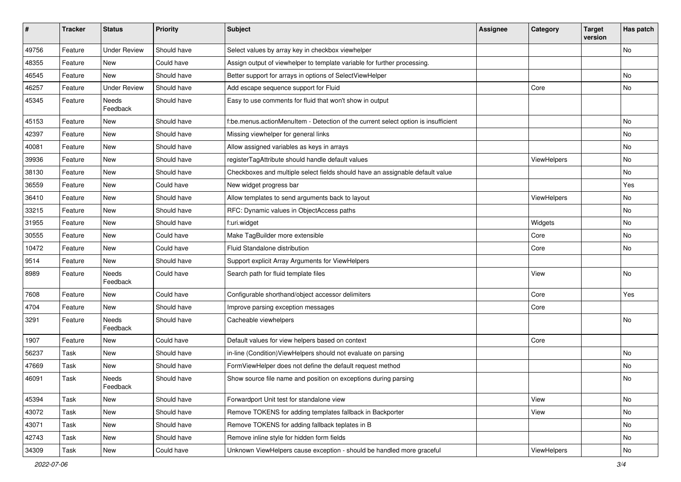| #     | <b>Tracker</b> | <b>Status</b>       | <b>Priority</b> | <b>Subject</b>                                                                     | <b>Assignee</b> | Category    | <b>Target</b><br>version | Has patch |
|-------|----------------|---------------------|-----------------|------------------------------------------------------------------------------------|-----------------|-------------|--------------------------|-----------|
| 49756 | Feature        | <b>Under Review</b> | Should have     | Select values by array key in checkbox viewhelper                                  |                 |             |                          | No        |
| 48355 | Feature        | New                 | Could have      | Assign output of viewhelper to template variable for further processing.           |                 |             |                          |           |
| 46545 | Feature        | New                 | Should have     | Better support for arrays in options of SelectViewHelper                           |                 |             |                          | No        |
| 46257 | Feature        | <b>Under Review</b> | Should have     | Add escape sequence support for Fluid                                              |                 | Core        |                          | No        |
| 45345 | Feature        | Needs<br>Feedback   | Should have     | Easy to use comments for fluid that won't show in output                           |                 |             |                          |           |
| 45153 | Feature        | New                 | Should have     | f:be.menus.actionMenuItem - Detection of the current select option is insufficient |                 |             |                          | No        |
| 42397 | Feature        | New                 | Should have     | Missing viewhelper for general links                                               |                 |             |                          | No        |
| 40081 | Feature        | New                 | Should have     | Allow assigned variables as keys in arrays                                         |                 |             |                          | No        |
| 39936 | Feature        | New                 | Should have     | registerTagAttribute should handle default values                                  |                 | ViewHelpers |                          | No        |
| 38130 | Feature        | New                 | Should have     | Checkboxes and multiple select fields should have an assignable default value      |                 |             |                          | No        |
| 36559 | Feature        | New                 | Could have      | New widget progress bar                                                            |                 |             |                          | Yes       |
| 36410 | Feature        | New                 | Should have     | Allow templates to send arguments back to layout                                   |                 | ViewHelpers |                          | No        |
| 33215 | Feature        | New                 | Should have     | RFC: Dynamic values in ObjectAccess paths                                          |                 |             |                          | No        |
| 31955 | Feature        | New                 | Should have     | f:uri.widget                                                                       |                 | Widgets     |                          | No        |
| 30555 | Feature        | New                 | Could have      | Make TagBuilder more extensible                                                    |                 | Core        |                          | No        |
| 10472 | Feature        | New                 | Could have      | Fluid Standalone distribution                                                      |                 | Core        |                          | No        |
| 9514  | Feature        | New                 | Should have     | Support explicit Array Arguments for ViewHelpers                                   |                 |             |                          |           |
| 8989  | Feature        | Needs<br>Feedback   | Could have      | Search path for fluid template files                                               |                 | View        |                          | No        |
| 7608  | Feature        | New                 | Could have      | Configurable shorthand/object accessor delimiters                                  |                 | Core        |                          | Yes       |
| 4704  | Feature        | New                 | Should have     | Improve parsing exception messages                                                 |                 | Core        |                          |           |
| 3291  | Feature        | Needs<br>Feedback   | Should have     | Cacheable viewhelpers                                                              |                 |             |                          | No        |
| 1907  | Feature        | New                 | Could have      | Default values for view helpers based on context                                   |                 | Core        |                          |           |
| 56237 | Task           | New                 | Should have     | in-line (Condition) ViewHelpers should not evaluate on parsing                     |                 |             |                          | No        |
| 47669 | Task           | New                 | Should have     | FormViewHelper does not define the default request method                          |                 |             |                          | <b>No</b> |
| 46091 | Task           | Needs<br>Feedback   | Should have     | Show source file name and position on exceptions during parsing                    |                 |             |                          | No        |
| 45394 | Task           | New                 | Should have     | Forwardport Unit test for standalone view                                          |                 | View        |                          | No        |
| 43072 | Task           | New                 | Should have     | Remove TOKENS for adding templates fallback in Backporter                          |                 | View        |                          | No        |
| 43071 | Task           | New                 | Should have     | Remove TOKENS for adding fallback teplates in B                                    |                 |             |                          | No        |
| 42743 | Task           | New                 | Should have     | Remove inline style for hidden form fields                                         |                 |             |                          | No        |
| 34309 | Task           | New                 | Could have      | Unknown ViewHelpers cause exception - should be handled more graceful              |                 | ViewHelpers |                          | No        |